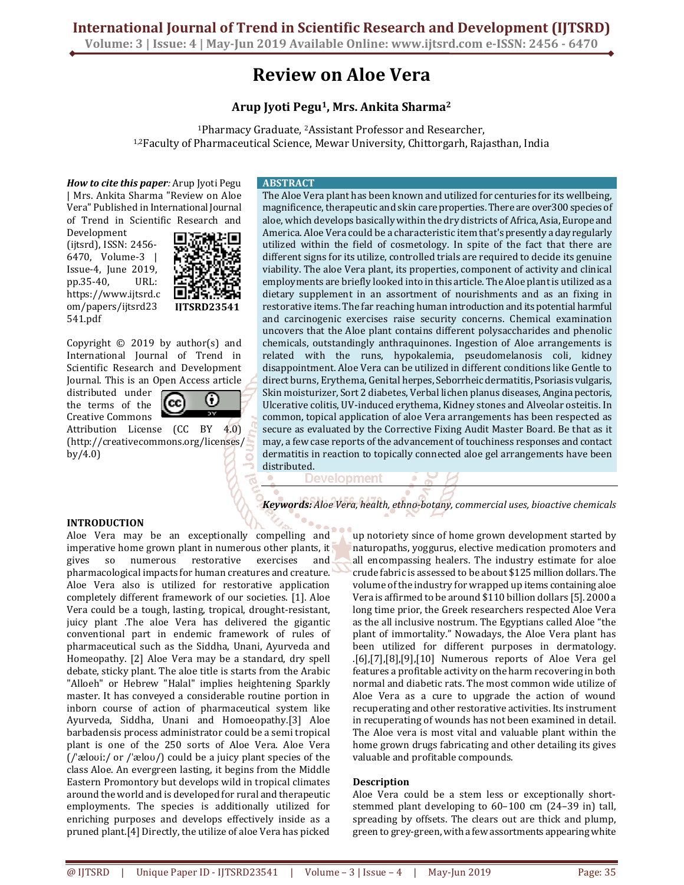**Volume: 3 | Issue: 4 | May-Jun 2019 Available Online: www.ijtsrd.com e-ISSN: 2456 - 6470**

# **Review on Aloe Vera**

## **Arup Jyoti Pegu1, Mrs. Ankita Sharma<sup>2</sup>**

<sup>1</sup>Pharmacy Graduate, 2Assistant Professor and Researcher, 1,2Faculty of Pharmaceutical Science, Mewar University, Chittorgarh, Rajasthan, India

*How to cite this paper:* Arup Jyoti Pegu | Mrs. Ankita Sharma "Review on Aloe Vera" Published in International Journal of Trend in Scientific Research and

Development (ijtsrd), ISSN: 2456- 6470, Volume-3 | Issue-4, June 2019, pp.35-40, URL: https://www.ijtsrd.c om/papers/ijtsrd23 541.pdf



Copyright  $\odot$  2019 by author(s) and International Journal of Trend in Scientific Research and Development Journal. This is an Open Access article

distributed under the terms of the Creative Commons



Attribution License (CC BY 4.0) (http://creativecommons.org/licenses/ by/4.0)

#### **ABSTRACT**

The Aloe Vera plant has been known and utilized for centuries for its wellbeing, magnificence, therapeutic and skin care properties. There are over300 species of aloe, which develops basically within the dry districts of Africa, Asia, Europe and America. Aloe Vera could be a characteristic item that's presently a day regularly utilized within the field of cosmetology. In spite of the fact that there are different signs for its utilize, controlled trials are required to decide its genuine viability. The aloe Vera plant, its properties, component of activity and clinical employments are briefly looked into in this article. The Aloe plant is utilized as a dietary supplement in an assortment of nourishments and as an fixing in restorative items. The far reaching human introduction and its potential harmful and carcinogenic exercises raise security concerns. Chemical examination uncovers that the Aloe plant contains different polysaccharides and phenolic chemicals, outstandingly anthraquinones. Ingestion of Aloe arrangements is related with the runs, hypokalemia, pseudomelanosis coli, kidney disappointment. Aloe Vera can be utilized in different conditions like Gentle to direct burns, Erythema, Genital herpes, Seborrheic dermatitis, Psoriasis vulgaris, Skin moisturizer, Sort 2 diabetes, Verbal lichen planus diseases, Angina pectoris, Ulcerative colitis, UV-induced erythema, Kidney stones and Alveolar osteitis. In common, topical application of aloe Vera arrangements has been respected as secure as evaluated by the Corrective Fixing Audit Master Board. Be that as it may, a few case reports of the advancement of touchiness responses and contact dermatitis in reaction to topically connected aloe gel arrangements have been distributed.

**Development** 

*Keywords: Aloe Vera, health, ethno-botany, commercial uses, bioactive chemicals* 

#### **INTRODUCTION**

Aloe Vera may be an exceptionally compelling and imperative home grown plant in numerous other plants, it gives so numerous restorative exercises and pharmacological impacts for human creatures and creature. Aloe Vera also is utilized for restorative application completely different framework of our societies. [1]. Aloe Vera could be a tough, lasting, tropical, drought-resistant, juicy plant .The aloe Vera has delivered the gigantic conventional part in endemic framework of rules of pharmaceutical such as the Siddha, Unani, Ayurveda and Homeopathy. [2] Aloe Vera may be a standard, dry spell debate, sticky plant. The aloe title is starts from the Arabic "Alloeh" or Hebrew "Halal" implies heightening Sparkly master. It has conveyed a considerable routine portion in inborn course of action of pharmaceutical system like Ayurveda, Siddha, Unani and Homoeopathy.[3] Aloe barbadensis process administrator could be a semi tropical plant is one of the 250 sorts of Aloe Vera. Aloe Vera (/ˈæloʊiː/ or /ˈæloʊ/) could be a juicy plant species of the class Aloe. An evergreen lasting, it begins from the Middle Eastern Promontory but develops wild in tropical climates around the world and is developed for rural and therapeutic employments. The species is additionally utilized for enriching purposes and develops effectively inside as a pruned plant.[4] Directly, the utilize of aloe Vera has picked

up notoriety since of home grown development started by naturopaths, yoggurus, elective medication promoters and all encompassing healers. The industry estimate for aloe crude fabric is assessed to be about \$125 million dollars. The volume of the industry for wrapped up items containing aloe Vera is affirmed to be around \$110 billion dollars [5]. 2000 a long time prior, the Greek researchers respected Aloe Vera as the all inclusive nostrum. The Egyptians called Aloe "the plant of immortality." Nowadays, the Aloe Vera plant has been utilized for different purposes in dermatology. .[6],[7],[8],[9],[10] Numerous reports of Aloe Vera gel features a profitable activity on the harm recovering in both normal and diabetic rats. The most common wide utilize of Aloe Vera as a cure to upgrade the action of wound recuperating and other restorative activities. Its instrument in recuperating of wounds has not been examined in detail. The Aloe vera is most vital and valuable plant within the home grown drugs fabricating and other detailing its gives valuable and profitable compounds.

### **Description**

Aloe Vera could be a stem less or exceptionally shortstemmed plant developing to 60–100 cm (24–39 in) tall, spreading by offsets. The clears out are thick and plump, green to grey-green, with a few assortments appearing white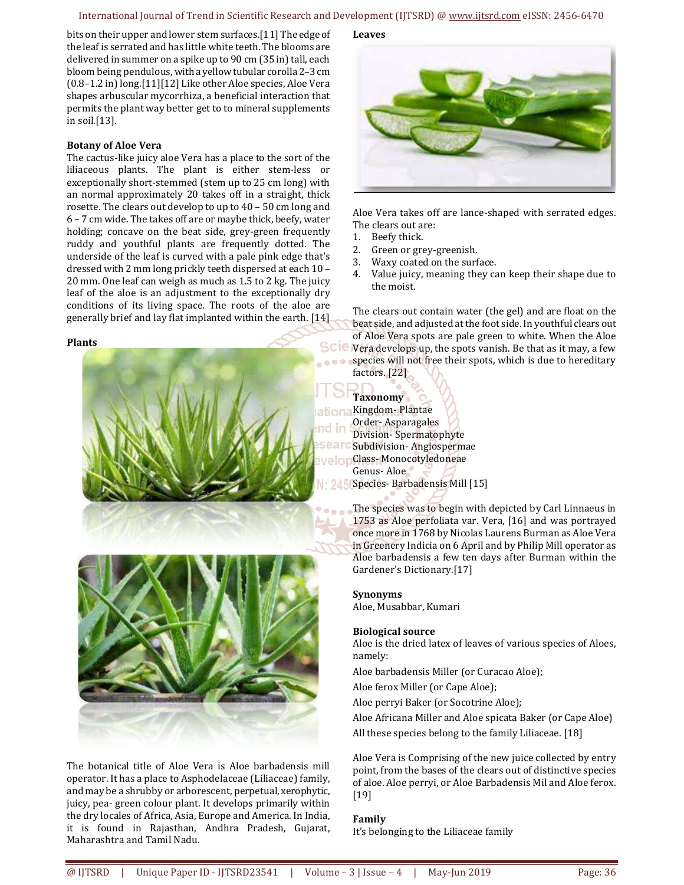#### International Journal of Trend in Scientific Research and Development (IJTSRD) @ www.ijtsrd.com eISSN: 2456-6470

bits on their upper and lower stem surfaces.[11] The edge of the leaf is serrated and has little white teeth. The blooms are delivered in summer on a spike up to 90 cm (35 in) tall, each bloom being pendulous, with a yellow tubular corolla 2–3 cm (0.8–1.2 in) long.[11][12] Like other Aloe species, Aloe Vera shapes arbuscular mycorrhiza, a beneficial interaction that permits the plant way better get to to mineral supplements in soil.[13].

#### **Botany of Aloe Vera**

The cactus-like juicy aloe Vera has a place to the sort of the liliaceous plants. The plant is either stem-less or exceptionally short-stemmed (stem up to 25 cm long) with an normal approximately 20 takes off in a straight, thick rosette. The clears out develop to up to 40 – 50 cm long and 6 – 7 cm wide. The takes off are or maybe thick, beefy, water holding; concave on the beat side, grey-green frequently ruddy and youthful plants are frequently dotted. The underside of the leaf is curved with a pale pink edge that's dressed with 2 mm long prickly teeth dispersed at each 10 – 20 mm. One leaf can weigh as much as 1.5 to 2 kg. The juicy leaf of the aloe is an adjustment to the exceptionally dry conditions of its living space. The roots of the aloe are generally brief and lay flat implanted within the earth. [14]

#### **Plants**



The botanical title of Aloe Vera is Aloe barbadensis mill operator. It has a place to Asphodelaceae (Liliaceae) family, and may be a shrubby or arborescent, perpetual, xerophytic, juicy, pea- green colour plant. It develops primarily within the dry locales of Africa, Asia, Europe and America. In India, it is found in Rajasthan, Andhra Pradesh, Gujarat, Maharashtra and Tamil Nadu.

**Leaves** 



Aloe Vera takes off are lance-shaped with serrated edges. The clears out are:

- 1. Beefy thick.
- 2. Green or grey-greenish.
- 3. Waxy coated on the surface.
- 4. Value juicy, meaning they can keep their shape due to the moist.

The clears out contain water (the gel) and are float on the beat side, and adjusted at the foot side. In youthful clears out of Aloe Vera spots are pale green to white. When the Aloe SCIC Vera develops up, the spots vanish. Be that as it may, a few **s** species will not free their spots, which is due to hereditary factors. [22]

**Taxonomy**  Kingdom- Plantae Order- Asparagales Division- Spermatophyte Subdivision- Angiospermae Class- Monocotyledoneae Genus- Aloe Species- Barbadensis Mill [15]

> The species was to begin with depicted by Carl Linnaeus in 1753 as Aloe perfoliata var. Vera, [16] and was portrayed once more in 1768 by Nicolas Laurens Burman as Aloe Vera in Greenery Indicia on 6 April and by Philip Mill operator as Aloe barbadensis a few ten days after Burman within the Gardener's Dictionary.[17]

#### **Synonyms**

Aloe, Musabbar, Kumari

#### **Biological source**

Aloe is the dried latex of leaves of various species of Aloes, namely:

Aloe barbadensis Miller (or Curacao Aloe);

Aloe ferox Miller (or Cape Aloe);

Aloe perryi Baker (or Socotrine Aloe);

Aloe Africana Miller and Aloe spicata Baker (or Cape Aloe) All these species belong to the family Liliaceae. [18]

Aloe Vera is Comprising of the new juice collected by entry point, from the bases of the clears out of distinctive species of aloe. Aloe perryi, or Aloe Barbadensis Mil and Aloe ferox. [19]

#### **Family**

It's belonging to the Liliaceae family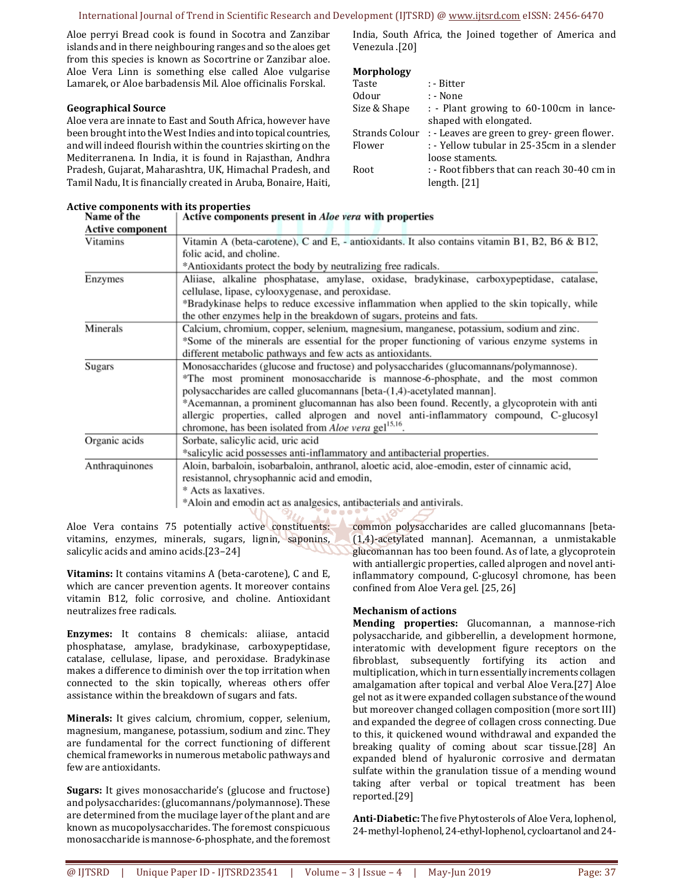#### International Journal of Trend in Scientific Research and Development (IJTSRD) @ www.ijtsrd.com eISSN: 2456-6470

Aloe perryi Bread cook is found in Socotra and Zanzibar islands and in there neighbouring ranges and so the aloes get from this species is known as Socortrine or Zanzibar aloe. Aloe Vera Linn is something else called Aloe vulgarise Lamarek, or Aloe barbadensis Mil. Aloe officinalis Forskal.

#### **Geographical Source**

Aloe vera are innate to East and South Africa, however have been brought into the West Indies and into topical countries, and will indeed flourish within the countries skirting on the Mediterranena. In India, it is found in Rajasthan, Andhra Pradesh, Gujarat, Maharashtra, UK, Himachal Pradesh, and Tamil Nadu, It is financially created in Aruba, Bonaire, Haiti,

#### **Active components with its properties**

India, South Africa, the Joined together of America and Venezula .[20]

#### **Morphology**

| Taste          | : - Bitter                                  |
|----------------|---------------------------------------------|
| Odour          | : - None                                    |
| Size & Shape   | : - Plant growing to 60-100cm in lance-     |
|                | shaped with elongated.                      |
| Strands Colour | : - Leaves are green to grey- green flower. |
| Flower         | : - Yellow tubular in 25-35cm in a slender  |
|                | loose staments.                             |
| Root           | : - Root fibbers that can reach 30-40 cm in |
|                | length. $[21]$                              |
|                |                                             |

| Name of the             | Active components present in <i>Aloe vera</i> with properties                                  |
|-------------------------|------------------------------------------------------------------------------------------------|
| <b>Active component</b> |                                                                                                |
| Vitamins                | Vitamin A (beta-carotene), C and E, - antioxidants. It also contains vitamin B1, B2, B6 & B12, |
|                         | folic acid, and choline.                                                                       |
|                         | *Antioxidants protect the body by neutralizing free radicals.                                  |
| Enzymes                 | Aliiase, alkaline phosphatase, amylase, oxidase, bradykinase, carboxypeptidase, catalase,      |
|                         | cellulase, lipase, cylooxygenase, and peroxidase.                                              |
|                         | *Bradykinase helps to reduce excessive inflammation when applied to the skin topically, while  |
|                         | the other enzymes help in the breakdown of sugars, proteins and fats.                          |
| Minerals                | Calcium, chromium, copper, selenium, magnesium, manganese, potassium, sodium and zinc.         |
|                         | *Some of the minerals are essential for the proper functioning of various enzyme systems in    |
|                         | different metabolic pathways and few acts as antioxidants.                                     |
| Sugars                  | Monosaccharides (glucose and fructose) and polysaccharides (glucomannans/polymannose).         |
|                         | *The most prominent monosaccharide is mannose-6-phosphate, and the most common                 |
|                         | polysaccharides are called glucomannans [beta-(1,4)-acetylated mannan].                        |
|                         | *Acemannan, a prominent glucomannan has also been found. Recently, a glycoprotein with anti    |
|                         | allergic properties, called alprogen and novel anti-inflammatory compound, C-glucosyl          |
|                         | chromone, has been isolated from <i>Aloe vera</i> gel <sup>15,16</sup> .                       |
| Organic acids           | Sorbate, salicylic acid, uric acid                                                             |
|                         | *salicylic acid possesses anti-inflammatory and antibacterial properties.                      |
| Anthraquinones          | Aloin, barbaloin, isobarbaloin, anthranol, aloetic acid, aloe-emodin, ester of cinnamic acid,  |
|                         | resistannol, chrysophannic acid and emodin,                                                    |
|                         | * Acts as laxatives.                                                                           |
|                         | *Aloin and emodin act as analgesics, antibacterials and antivirals.                            |
|                         |                                                                                                |

Aloe Vera contains 75 potentially active constituents: vitamins, enzymes, minerals, sugars, lignin, saponins, salicylic acids and amino acids.[23–24]

**Vitamins:** It contains vitamins A (beta-carotene), C and E, which are cancer prevention agents. It moreover contains vitamin B12, folic corrosive, and choline. Antioxidant neutralizes free radicals.

**Enzymes:** It contains 8 chemicals: aliiase, antacid phosphatase, amylase, bradykinase, carboxypeptidase, catalase, cellulase, lipase, and peroxidase. Bradykinase makes a difference to diminish over the top irritation when connected to the skin topically, whereas others offer assistance within the breakdown of sugars and fats.

**Minerals:** It gives calcium, chromium, copper, selenium, magnesium, manganese, potassium, sodium and zinc. They are fundamental for the correct functioning of different chemical frameworks in numerous metabolic pathways and few are antioxidants.

**Sugars:** It gives monosaccharide's (glucose and fructose) and polysaccharides: (glucomannans/polymannose). These are determined from the mucilage layer of the plant and are known as mucopolysaccharides. The foremost conspicuous monosaccharide is mannose-6-phosphate, and the foremost common polysaccharides are called glucomannans [beta- (1,4)-acetylated mannan]. Acemannan, a unmistakable glucomannan has too been found. As of late, a glycoprotein with antiallergic properties, called alprogen and novel antiinflammatory compound, C-glucosyl chromone, has been confined from Aloe Vera gel. [25, 26]

#### **Mechanism of actions**

**Mending properties:** Glucomannan, a mannose-rich polysaccharide, and gibberellin, a development hormone, interatomic with development figure receptors on the fibroblast, subsequently fortifying its action and multiplication, which in turn essentially increments collagen amalgamation after topical and verbal Aloe Vera.[27] Aloe gel not as it were expanded collagen substance of the wound but moreover changed collagen composition (more sort III) and expanded the degree of collagen cross connecting. Due to this, it quickened wound withdrawal and expanded the breaking quality of coming about scar tissue.[28] An expanded blend of hyaluronic corrosive and dermatan sulfate within the granulation tissue of a mending wound taking after verbal or topical treatment has been reported.[29]

**Anti-Diabetic:** The five Phytosterols of Aloe Vera, lophenol, 24-methyl-lophenol, 24-ethyl-lophenol, cycloartanol and 24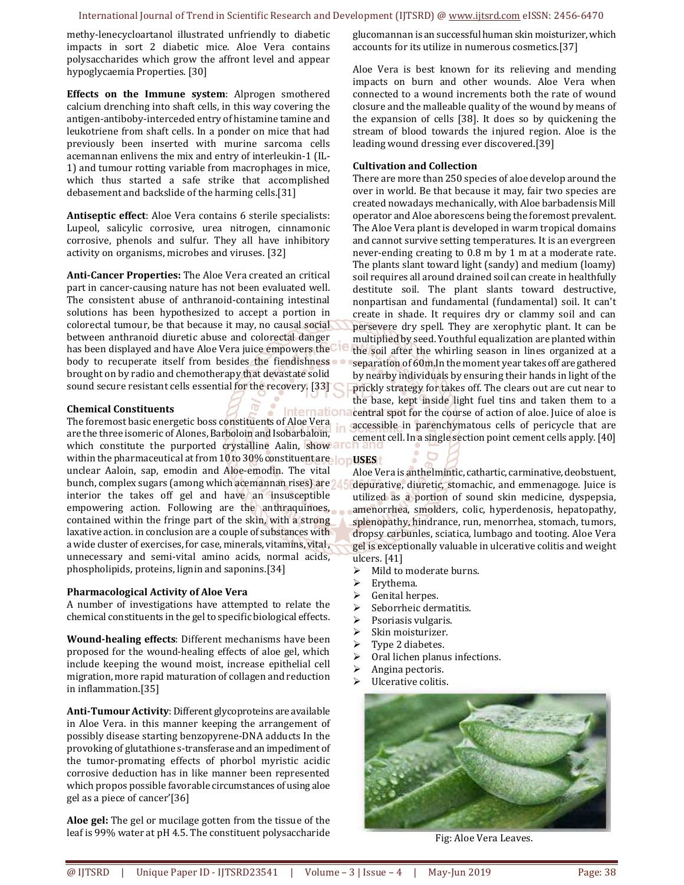methy-lenecycloartanol illustrated unfriendly to diabetic impacts in sort 2 diabetic mice. Aloe Vera contains polysaccharides which grow the affront level and appear hypoglycaemia Properties. [30]

**Effects on the Immune system**: Alprogen smothered calcium drenching into shaft cells, in this way covering the antigen-antiboby-interceded entry of histamine tamine and leukotriene from shaft cells. In a ponder on mice that had previously been inserted with murine sarcoma cells acemannan enlivens the mix and entry of interleukin-1 (IL-1) and tumour rotting variable from macrophages in mice, which thus started a safe strike that accomplished debasement and backslide of the harming cells.[31]

**Antiseptic effect**: Aloe Vera contains 6 sterile specialists: Lupeol, salicylic corrosive, urea nitrogen, cinnamonic corrosive, phenols and sulfur. They all have inhibitory activity on organisms, microbes and viruses. [32]

**Anti-Cancer Properties:** The Aloe Vera created an critical part in cancer-causing nature has not been evaluated well. The consistent abuse of anthranoid-containing intestinal solutions has been hypothesized to accept a portion in colorectal tumour, be that because it may, no causal social between anthranoid diuretic abuse and colorectal danger has been displayed and have Aloe Vera juice empowers the body to recuperate itself from besides the fiendishness . brought on by radio and chemotherapy that devastate solid sound secure resistant cells essential for the recovery. [33]

#### **Chemical Constituents**

ternation The foremost basic energetic boss constituents of Aloe Vera are the three isomeric of Alones, Barboloin and Isobarbaloin, which constitute the purported crystalline Aalin, show all within the pharmaceutical at from 10 to 30% constituent are **op USES** unclear Aaloin, sap, emodin and Aloe-emodin. The vital bunch, complex sugars (among which acemannan rises) are interior the takes off gel and have an insusceptible empowering action. Following are the anthraquinoes, contained within the fringe part of the skin, with a strong laxative action. in conclusion are a couple of substances with a wide cluster of exercises, for case, minerals, vitamins, vital, unnecessary and semi-vital amino acids, normal acids, phospholipids, proteins, lignin and saponins.[34]

#### **Pharmacological Activity of Aloe Vera**

A number of investigations have attempted to relate the chemical constituents in the gel to specific biological effects.

**Wound-healing effects**: Different mechanisms have been proposed for the wound-healing effects of aloe gel, which include keeping the wound moist, increase epithelial cell migration, more rapid maturation of collagen and reduction in inflammation.[35]

**Anti-Tumour Activity**: Different glycoproteins are available in Aloe Vera. in this manner keeping the arrangement of possibly disease starting benzopyrene-DNA adducts In the provoking of glutathione s-transferase and an impediment of the tumor-promating effects of phorbol myristic acidic corrosive deduction has in like manner been represented which propos possible favorable circumstances of using aloe gel as a piece of cancer'[36]

**Aloe gel:** The gel or mucilage gotten from the tissue of the leaf is 99% water at pH 4.5. The constituent polysaccharide glucomannan is an successful human skin moisturizer, which accounts for its utilize in numerous cosmetics.[37]

Aloe Vera is best known for its relieving and mending impacts on burn and other wounds. Aloe Vera when connected to a wound increments both the rate of wound closure and the malleable quality of the wound by means of the expansion of cells [38]. It does so by quickening the stream of blood towards the injured region. Aloe is the leading wound dressing ever discovered.[39]

#### **Cultivation and Collection**

There are more than 250 species of aloe develop around the over in world. Be that because it may, fair two species are created nowadays mechanically, with Aloe barbadensis Mill operator and Aloe aborescens being the foremost prevalent. The Aloe Vera plant is developed in warm tropical domains and cannot survive setting temperatures. It is an evergreen never-ending creating to 0.8 m by 1 m at a moderate rate. The plants slant toward light (sandy) and medium (loamy) soil requires all around drained soil can create in healthfully destitute soil. The plant slants toward destructive, nonpartisan and fundamental (fundamental) soil. It can't create in shade. It requires dry or clammy soil and can persevere dry spell. They are xerophytic plant. It can be multiplied by seed. Youthful equalization are planted within the soil after the whirling season in lines organized at a separation of 60m.In the moment year takes off are gathered by nearby individuals by ensuring their hands in light of the prickly strategy for takes off. The clears out are cut near to the base, kept inside light fuel tins and taken them to a central spot for the course of action of aloe. Juice of aloe is accessible in parenchymatous cells of pericycle that are cement cell. In a single section point cement cells apply. [40]

Aloe Vera is anthelmintic, cathartic, carminative, deobstuent, depurative, diuretic, stomachic, and emmenagoge. Juice is utilized as a portion of sound skin medicine, dyspepsia, amenorrhea, smolders, colic, hyperdenosis, hepatopathy, splenopathy, hindrance, run, menorrhea, stomach, tumors, dropsy carbunles, sciatica, lumbago and tooting. Aloe Vera gel is exceptionally valuable in ulcerative colitis and weight ulcers. [41]

- $\geq$  Mild to moderate burns.<br> $\geq$  Ervthema.
- Erythema.
- $\triangleright$  Genital herpes.
- $\geq$  Seborrheic dermatitis.<br> $\geq$  Psoriasis vulgaris.
- Psoriasis vulgaris.
- $\triangleright$  Skin moisturizer.<br> $\triangleright$  Type 2 diabetes.
- $\triangleright$  Type 2 diabetes.<br> $\triangleright$  Oral lichen planu
- Oral lichen planus infections.
- $\triangleright$  Angina pectoris.
- $\triangleright$  Ulcerative colitis.



Fig: Aloe Vera Leaves.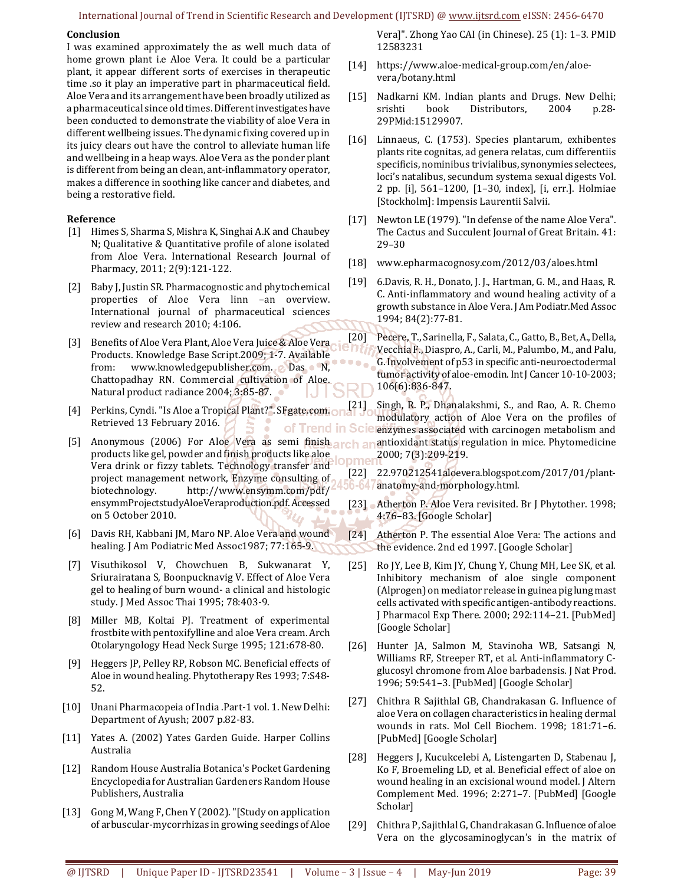#### International Journal of Trend in Scientific Research and Development (IJTSRD) @ www.ijtsrd.com eISSN: 2456-6470

#### **Conclusion**

I was examined approximately the as well much data of home grown plant i.e Aloe Vera. It could be a particular plant, it appear different sorts of exercises in therapeutic time .so it play an imperative part in pharmaceutical field. Aloe Vera and its arrangement have been broadly utilized as a pharmaceutical since old times. Different investigates have been conducted to demonstrate the viability of aloe Vera in different wellbeing issues. The dynamic fixing covered up in its juicy clears out have the control to alleviate human life and wellbeing in a heap ways. Aloe Vera as the ponder plant is different from being an clean, ant-inflammatory operator, makes a difference in soothing like cancer and diabetes, and being a restorative field.

#### **Reference**

- [1] Himes S, Sharma S, Mishra K, Singhai A.K and Chaubey N; Qualitative & Quantitative profile of alone isolated from Aloe Vera. International Research Journal of Pharmacy, 2011; 2(9):121-122.
- [2] Baby J, Justin SR. Pharmacognostic and phytochemical properties of Aloe Vera linn –an overview. International journal of pharmaceutical sciences review and research 2010; 4:106.
- [3] Benefits of Aloe Vera Plant, Aloe Vera Juice & Aloe Vera Products. Knowledge Base Script.2009; 1-7. Available from: www.knowledgepublisher.com. Das N, Chattopadhay RN. Commercial cultivation of Aloe. Natural product radiance 2004; 3:85-87.
- [4] Perkins, Cyndi. "Is Aloe a Tropical Plant?". SFgate.com. Retrieved 13 February 2016. of Trend in Scie
- [5] Anonymous (2006) For Aloe Vera as semi finish arch an products like gel, powder and finish products like aloe Vera drink or fizzy tablets. Technology transfer and project management network, Enzyme consulting of biotechnology. http://www.ensymm.com/pdf/ ensymmProjectstudyAloeVeraproduction.pdf. Accessed on 5 October 2010.
- [6] Davis RH, Kabbani JM, Maro NP. Aloe Vera and wound healing. J Am Podiatric Med Assoc1987; 77:165-9.
- [7] Visuthikosol V, Chowchuen B, Sukwanarat Y, Sriurairatana S, Boonpucknavig V. Effect of Aloe Vera gel to healing of burn wound- a clinical and histologic study. J Med Assoc Thai 1995; 78:403-9.
- [8] Miller MB, Koltai PJ. Treatment of experimental frostbite with pentoxifylline and aloe Vera cream. Arch Otolaryngology Head Neck Surge 1995; 121:678-80.
- [9] Heggers JP, Pelley RP, Robson MC. Beneficial effects of Aloe in wound healing. Phytotherapy Res 1993; 7:S48- 52.
- [10] Unani Pharmacopeia of India .Part-1 vol. 1. New Delhi: Department of Ayush; 2007 p.82-83.
- [11] Yates A. (2002) Yates Garden Guide. Harper Collins Australia
- [12] Random House Australia Botanica's Pocket Gardening Encyclopedia for Australian Gardeners Random House Publishers, Australia
- [13] Gong M, Wang F, Chen Y (2002). "[Study on application of arbuscular-mycorrhizas in growing seedings of Aloe

Vera]". Zhong Yao CAI (in Chinese). 25 (1): 1–3. PMID 12583231

- [14] https://www.aloe-medical-group.com/en/aloevera/botany.html
- [15] Nadkarni KM. Indian plants and Drugs. New Delhi; srishti book Distributors, 2004 p.28- 29PMid:15129907.
- [16] Linnaeus, C. (1753). Species plantarum, exhibentes plants rite cognitas, ad genera relatas, cum differentiis specificis, nominibus trivialibus, synonymies selectees, loci's natalibus, secundum systema sexual digests Vol. 2 pp. [i], 561–1200, [1–30, index], [i, err.]. Holmiae [Stockholm]: Impensis Laurentii Salvii.
- [17] Newton LE (1979). "In defense of the name Aloe Vera". The Cactus and Succulent Journal of Great Britain. 41: 29–30
- [18] www.epharmacognosy.com/2012/03/aloes.html
- [19] 6.Davis, R. H., Donato, J. J., Hartman, G. M., and Haas, R. C. Anti-inflammatory and wound healing activity of a growth substance in Aloe Vera. J Am Podiatr.Med Assoc 1994; 84(2):77-81.
- [20] Pecere, T., Sarinella, F., Salata, C., Gatto, B., Bet, A., Della, Vecchia F., Diaspro, A., Carli, M., Palumbo, M., and Palu, G. Involvement of p53 in specific anti-neuroectodermal tumor activity of aloe-emodin. Int J Cancer 10-10-2003; 106(6):836-847.

Singh, R. P., Dhanalakshmi, S., and Rao, A. R. Chemo modulatory action of Aloe Vera on the profiles of enzymes associated with carcinogen metabolism and antioxidant status regulation in mice. Phytomedicine 2000; 7(3):209-219. nmel

- [22] 22.970212541aloevera.blogspot.com/2017/01/plant-56-647 anatomy-and-morphology.html.
- [23] Atherton P. Aloe Vera revisited. Br J Phytother. 1998; 4:76–83. [Google Scholar]
- [24] Atherton P. The essential Aloe Vera: The actions and the evidence. 2nd ed 1997. [Google Scholar]
- [25] Ro JY, Lee B, Kim JY, Chung Y, Chung MH, Lee SK, et al. Inhibitory mechanism of aloe single component (Alprogen) on mediator release in guinea pig lung mast cells activated with specific antigen-antibody reactions. J Pharmacol Exp There. 2000; 292:114–21. [PubMed] [Google Scholar]
- [26] Hunter JA, Salmon M, Stavinoha WB, Satsangi N, Williams RF, Streeper RT, et al. Anti-inflammatory Cglucosyl chromone from Aloe barbadensis. J Nat Prod. 1996; 59:541–3. [PubMed] [Google Scholar]
- [27] Chithra R Sajithlal GB, Chandrakasan G. Influence of aloe Vera on collagen characteristics in healing dermal wounds in rats. Mol Cell Biochem. 1998; 181:71–6. [PubMed] [Google Scholar]
- [28] Heggers J, Kucukcelebi A, Listengarten D, Stabenau J, Ko F, Broemeling LD, et al. Beneficial effect of aloe on wound healing in an excisional wound model. J Altern Complement Med. 1996; 2:271–7. [PubMed] [Google Scholar]
- [29] Chithra P, Sajithlal G, Chandrakasan G. Influence of aloe Vera on the glycosaminoglycan's in the matrix of